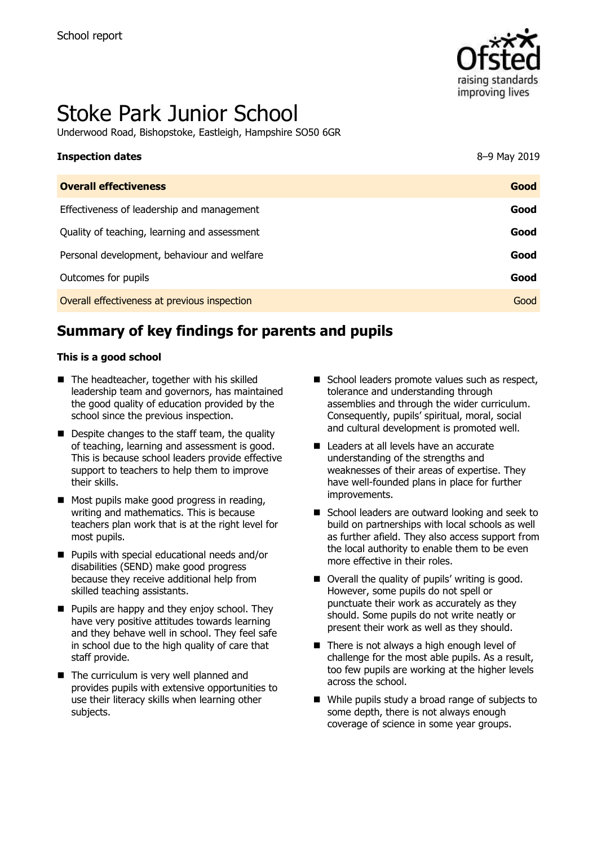

# Stoke Park Junior School

Underwood Road, Bishopstoke, Eastleigh, Hampshire SO50 6GR

| <b>Inspection dates</b>                      | 8-9 May 2019 |
|----------------------------------------------|--------------|
| <b>Overall effectiveness</b>                 | Good         |
| Effectiveness of leadership and management   | Good         |
| Quality of teaching, learning and assessment | Good         |
| Personal development, behaviour and welfare  | Good         |
| Outcomes for pupils                          | Good         |
| Overall effectiveness at previous inspection | Good         |

# **Summary of key findings for parents and pupils**

#### **This is a good school**

- The headteacher, together with his skilled leadership team and governors, has maintained the good quality of education provided by the school since the previous inspection.
- Despite changes to the staff team, the quality of teaching, learning and assessment is good. This is because school leaders provide effective support to teachers to help them to improve their skills.
- Most pupils make good progress in reading, writing and mathematics. This is because teachers plan work that is at the right level for most pupils.
- Pupils with special educational needs and/or disabilities (SEND) make good progress because they receive additional help from skilled teaching assistants.
- $\blacksquare$  Pupils are happy and they enjoy school. They have very positive attitudes towards learning and they behave well in school. They feel safe in school due to the high quality of care that staff provide.
- The curriculum is very well planned and provides pupils with extensive opportunities to use their literacy skills when learning other subjects.
- $\blacksquare$  School leaders promote values such as respect, tolerance and understanding through assemblies and through the wider curriculum. Consequently, pupils' spiritual, moral, social and cultural development is promoted well.
- Leaders at all levels have an accurate understanding of the strengths and weaknesses of their areas of expertise. They have well-founded plans in place for further improvements.
- School leaders are outward looking and seek to build on partnerships with local schools as well as further afield. They also access support from the local authority to enable them to be even more effective in their roles.
- Overall the quality of pupils' writing is good. However, some pupils do not spell or punctuate their work as accurately as they should. Some pupils do not write neatly or present their work as well as they should.
- There is not always a high enough level of challenge for the most able pupils. As a result, too few pupils are working at the higher levels across the school.
- While pupils study a broad range of subjects to some depth, there is not always enough coverage of science in some year groups.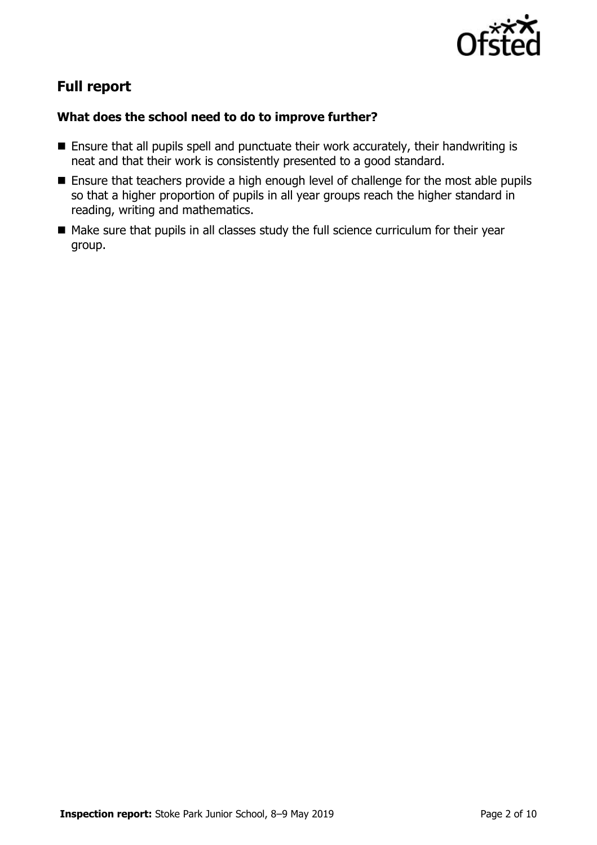

# **Full report**

### **What does the school need to do to improve further?**

- **Ensure that all pupils spell and punctuate their work accurately, their handwriting is** neat and that their work is consistently presented to a good standard.
- **Ensure that teachers provide a high enough level of challenge for the most able pupils** so that a higher proportion of pupils in all year groups reach the higher standard in reading, writing and mathematics.
- Make sure that pupils in all classes study the full science curriculum for their year group.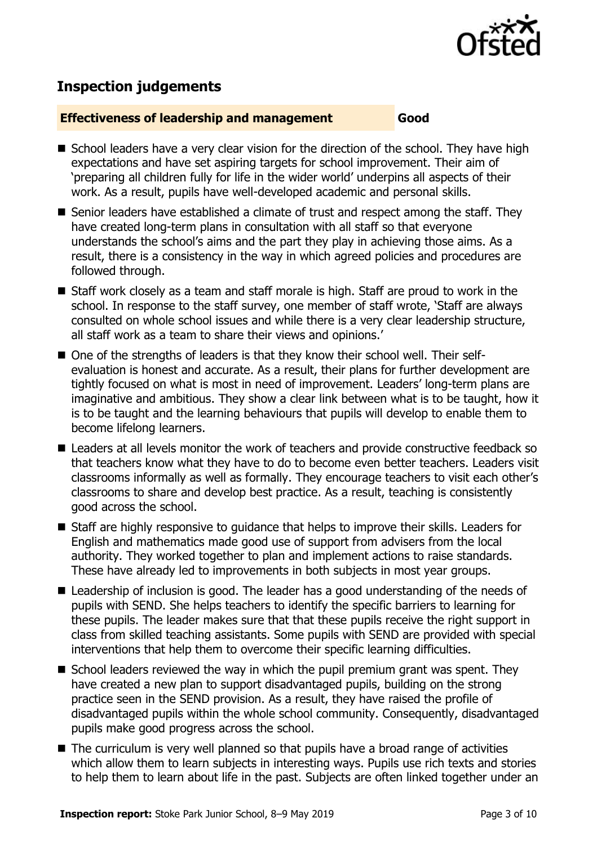

# **Inspection judgements**

#### **Effectiveness of leadership and management Good**

- School leaders have a very clear vision for the direction of the school. They have high expectations and have set aspiring targets for school improvement. Their aim of 'preparing all children fully for life in the wider world' underpins all aspects of their work. As a result, pupils have well-developed academic and personal skills.
- Senior leaders have established a climate of trust and respect among the staff. They have created long-term plans in consultation with all staff so that everyone understands the school's aims and the part they play in achieving those aims. As a result, there is a consistency in the way in which agreed policies and procedures are followed through.
- Staff work closely as a team and staff morale is high. Staff are proud to work in the school. In response to the staff survey, one member of staff wrote, 'Staff are always consulted on whole school issues and while there is a very clear leadership structure, all staff work as a team to share their views and opinions.'
- One of the strengths of leaders is that they know their school well. Their selfevaluation is honest and accurate. As a result, their plans for further development are tightly focused on what is most in need of improvement. Leaders' long-term plans are imaginative and ambitious. They show a clear link between what is to be taught, how it is to be taught and the learning behaviours that pupils will develop to enable them to become lifelong learners.
- Leaders at all levels monitor the work of teachers and provide constructive feedback so that teachers know what they have to do to become even better teachers. Leaders visit classrooms informally as well as formally. They encourage teachers to visit each other's classrooms to share and develop best practice. As a result, teaching is consistently good across the school.
- Staff are highly responsive to guidance that helps to improve their skills. Leaders for English and mathematics made good use of support from advisers from the local authority. They worked together to plan and implement actions to raise standards. These have already led to improvements in both subjects in most year groups.
- Leadership of inclusion is good. The leader has a good understanding of the needs of pupils with SEND. She helps teachers to identify the specific barriers to learning for these pupils. The leader makes sure that that these pupils receive the right support in class from skilled teaching assistants. Some pupils with SEND are provided with special interventions that help them to overcome their specific learning difficulties.
- $\blacksquare$  School leaders reviewed the way in which the pupil premium grant was spent. They have created a new plan to support disadvantaged pupils, building on the strong practice seen in the SEND provision. As a result, they have raised the profile of disadvantaged pupils within the whole school community. Consequently, disadvantaged pupils make good progress across the school.
- The curriculum is very well planned so that pupils have a broad range of activities which allow them to learn subjects in interesting ways. Pupils use rich texts and stories to help them to learn about life in the past. Subjects are often linked together under an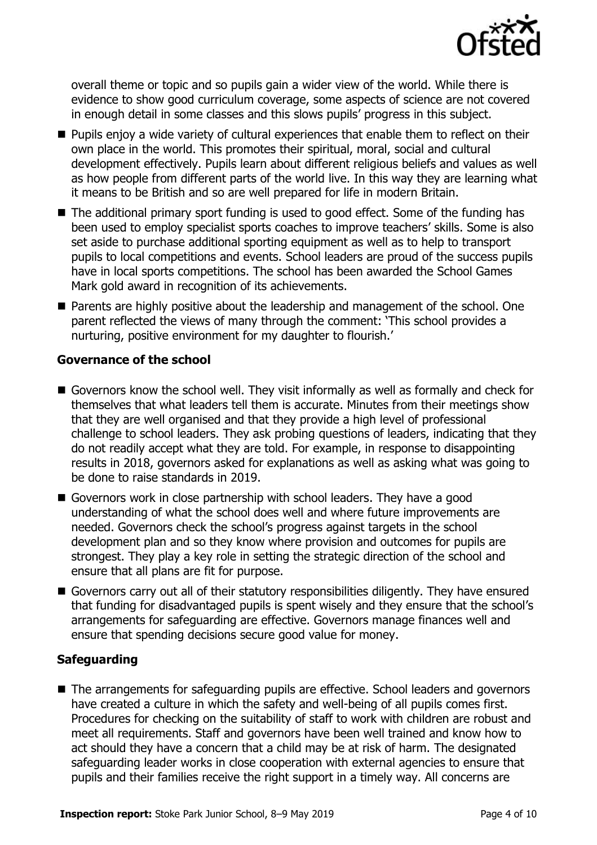

overall theme or topic and so pupils gain a wider view of the world. While there is evidence to show good curriculum coverage, some aspects of science are not covered in enough detail in some classes and this slows pupils' progress in this subject.

- **Pupils enjoy a wide variety of cultural experiences that enable them to reflect on their** own place in the world. This promotes their spiritual, moral, social and cultural development effectively. Pupils learn about different religious beliefs and values as well as how people from different parts of the world live. In this way they are learning what it means to be British and so are well prepared for life in modern Britain.
- The additional primary sport funding is used to good effect. Some of the funding has been used to employ specialist sports coaches to improve teachers' skills. Some is also set aside to purchase additional sporting equipment as well as to help to transport pupils to local competitions and events. School leaders are proud of the success pupils have in local sports competitions. The school has been awarded the School Games Mark gold award in recognition of its achievements.
- **Parents are highly positive about the leadership and management of the school. One** parent reflected the views of many through the comment: 'This school provides a nurturing, positive environment for my daughter to flourish.'

#### **Governance of the school**

- Governors know the school well. They visit informally as well as formally and check for themselves that what leaders tell them is accurate. Minutes from their meetings show that they are well organised and that they provide a high level of professional challenge to school leaders. They ask probing questions of leaders, indicating that they do not readily accept what they are told. For example, in response to disappointing results in 2018, governors asked for explanations as well as asking what was going to be done to raise standards in 2019.
- Governors work in close partnership with school leaders. They have a good understanding of what the school does well and where future improvements are needed. Governors check the school's progress against targets in the school development plan and so they know where provision and outcomes for pupils are strongest. They play a key role in setting the strategic direction of the school and ensure that all plans are fit for purpose.
- Governors carry out all of their statutory responsibilities diligently. They have ensured that funding for disadvantaged pupils is spent wisely and they ensure that the school's arrangements for safeguarding are effective. Governors manage finances well and ensure that spending decisions secure good value for money.

#### **Safeguarding**

■ The arrangements for safeguarding pupils are effective. School leaders and governors have created a culture in which the safety and well-being of all pupils comes first. Procedures for checking on the suitability of staff to work with children are robust and meet all requirements. Staff and governors have been well trained and know how to act should they have a concern that a child may be at risk of harm. The designated safeguarding leader works in close cooperation with external agencies to ensure that pupils and their families receive the right support in a timely way. All concerns are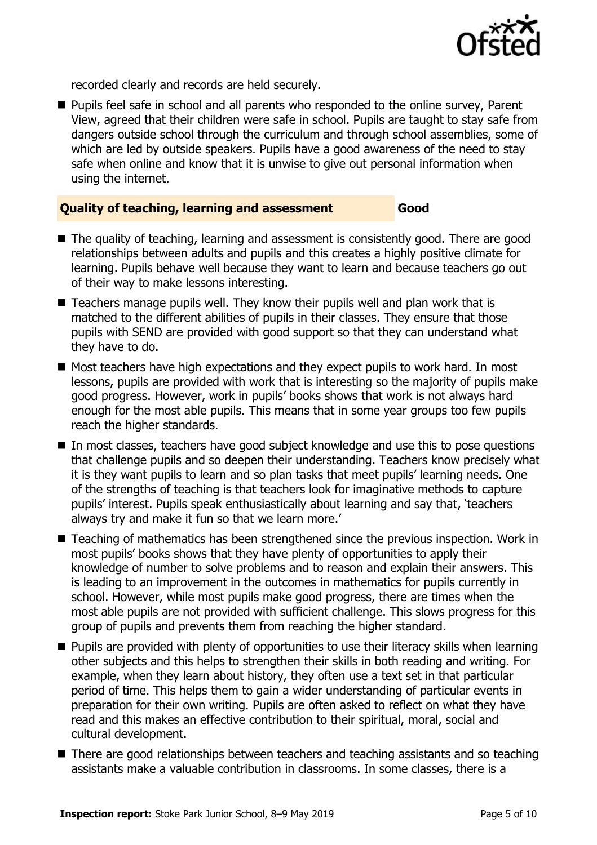

recorded clearly and records are held securely.

**Pupils feel safe in school and all parents who responded to the online survey, Parent** View, agreed that their children were safe in school. Pupils are taught to stay safe from dangers outside school through the curriculum and through school assemblies, some of which are led by outside speakers. Pupils have a good awareness of the need to stay safe when online and know that it is unwise to give out personal information when using the internet.

#### **Quality of teaching, learning and assessment Good**

- 
- The quality of teaching, learning and assessment is consistently good. There are good relationships between adults and pupils and this creates a highly positive climate for learning. Pupils behave well because they want to learn and because teachers go out of their way to make lessons interesting.
- $\blacksquare$  Teachers manage pupils well. They know their pupils well and plan work that is matched to the different abilities of pupils in their classes. They ensure that those pupils with SEND are provided with good support so that they can understand what they have to do.
- $\blacksquare$  Most teachers have high expectations and they expect pupils to work hard. In most lessons, pupils are provided with work that is interesting so the majority of pupils make good progress. However, work in pupils' books shows that work is not always hard enough for the most able pupils. This means that in some year groups too few pupils reach the higher standards.
- In most classes, teachers have good subject knowledge and use this to pose questions that challenge pupils and so deepen their understanding. Teachers know precisely what it is they want pupils to learn and so plan tasks that meet pupils' learning needs. One of the strengths of teaching is that teachers look for imaginative methods to capture pupils' interest. Pupils speak enthusiastically about learning and say that, 'teachers always try and make it fun so that we learn more.'
- Teaching of mathematics has been strengthened since the previous inspection. Work in most pupils' books shows that they have plenty of opportunities to apply their knowledge of number to solve problems and to reason and explain their answers. This is leading to an improvement in the outcomes in mathematics for pupils currently in school. However, while most pupils make good progress, there are times when the most able pupils are not provided with sufficient challenge. This slows progress for this group of pupils and prevents them from reaching the higher standard.
- **Pupils are provided with plenty of opportunities to use their literacy skills when learning** other subjects and this helps to strengthen their skills in both reading and writing. For example, when they learn about history, they often use a text set in that particular period of time. This helps them to gain a wider understanding of particular events in preparation for their own writing. Pupils are often asked to reflect on what they have read and this makes an effective contribution to their spiritual, moral, social and cultural development.
- There are good relationships between teachers and teaching assistants and so teaching assistants make a valuable contribution in classrooms. In some classes, there is a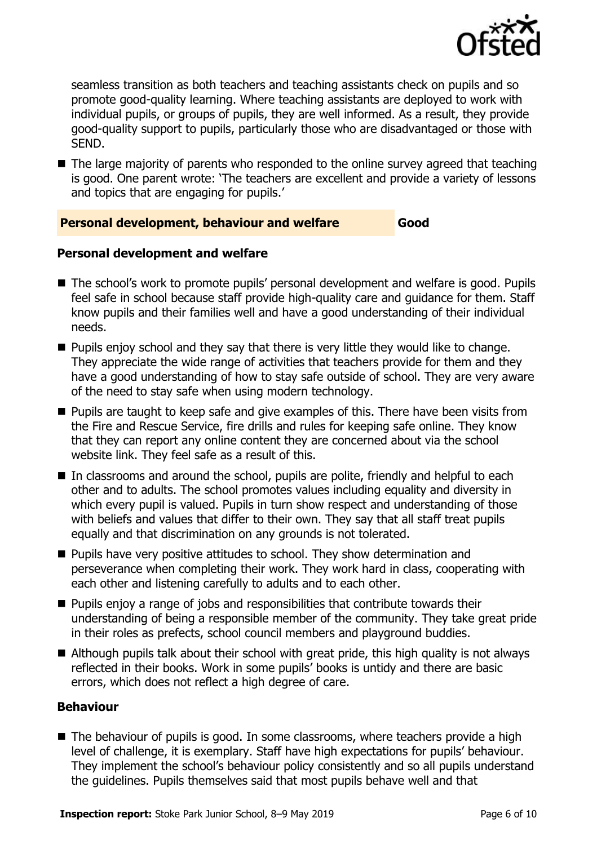

seamless transition as both teachers and teaching assistants check on pupils and so promote good-quality learning. Where teaching assistants are deployed to work with individual pupils, or groups of pupils, they are well informed. As a result, they provide good-quality support to pupils, particularly those who are disadvantaged or those with SEND.

 $\blacksquare$  The large majority of parents who responded to the online survey agreed that teaching is good. One parent wrote: 'The teachers are excellent and provide a variety of lessons and topics that are engaging for pupils.'

#### **Personal development, behaviour and welfare Good**

#### **Personal development and welfare**

- The school's work to promote pupils' personal development and welfare is good. Pupils feel safe in school because staff provide high-quality care and guidance for them. Staff know pupils and their families well and have a good understanding of their individual needs.
- $\blacksquare$  Pupils enjoy school and they say that there is very little they would like to change. They appreciate the wide range of activities that teachers provide for them and they have a good understanding of how to stay safe outside of school. They are very aware of the need to stay safe when using modern technology.
- **Pupils are taught to keep safe and give examples of this. There have been visits from** the Fire and Rescue Service, fire drills and rules for keeping safe online. They know that they can report any online content they are concerned about via the school website link. They feel safe as a result of this.
- In classrooms and around the school, pupils are polite, friendly and helpful to each other and to adults. The school promotes values including equality and diversity in which every pupil is valued. Pupils in turn show respect and understanding of those with beliefs and values that differ to their own. They say that all staff treat pupils equally and that discrimination on any grounds is not tolerated.
- **Pupils have very positive attitudes to school. They show determination and** perseverance when completing their work. They work hard in class, cooperating with each other and listening carefully to adults and to each other.
- $\blacksquare$  Pupils enjoy a range of jobs and responsibilities that contribute towards their understanding of being a responsible member of the community. They take great pride in their roles as prefects, school council members and playground buddies.
- Although pupils talk about their school with great pride, this high quality is not always reflected in their books. Work in some pupils' books is untidy and there are basic errors, which does not reflect a high degree of care.

#### **Behaviour**

The behaviour of pupils is good. In some classrooms, where teachers provide a high level of challenge, it is exemplary. Staff have high expectations for pupils' behaviour. They implement the school's behaviour policy consistently and so all pupils understand the guidelines. Pupils themselves said that most pupils behave well and that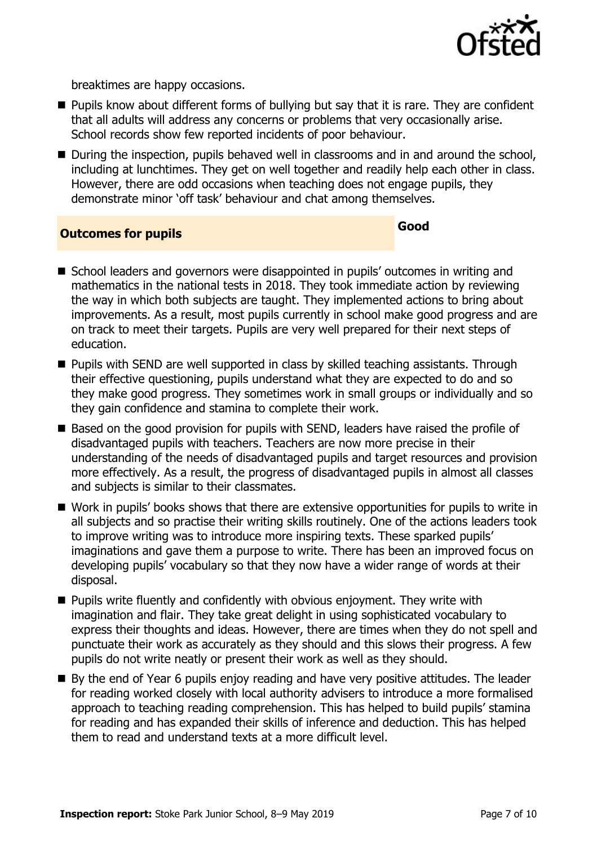

breaktimes are happy occasions.

- Pupils know about different forms of bullying but say that it is rare. They are confident that all adults will address any concerns or problems that very occasionally arise. School records show few reported incidents of poor behaviour.
- During the inspection, pupils behaved well in classrooms and in and around the school, including at lunchtimes. They get on well together and readily help each other in class. However, there are odd occasions when teaching does not engage pupils, they demonstrate minor 'off task' behaviour and chat among themselves.

# **Outcomes for pupils Good**

- School leaders and governors were disappointed in pupils' outcomes in writing and mathematics in the national tests in 2018. They took immediate action by reviewing the way in which both subjects are taught. They implemented actions to bring about improvements. As a result, most pupils currently in school make good progress and are on track to meet their targets. Pupils are very well prepared for their next steps of education.
- **Pupils with SEND are well supported in class by skilled teaching assistants. Through** their effective questioning, pupils understand what they are expected to do and so they make good progress. They sometimes work in small groups or individually and so they gain confidence and stamina to complete their work.
- Based on the good provision for pupils with SEND, leaders have raised the profile of disadvantaged pupils with teachers. Teachers are now more precise in their understanding of the needs of disadvantaged pupils and target resources and provision more effectively. As a result, the progress of disadvantaged pupils in almost all classes and subjects is similar to their classmates.
- Work in pupils' books shows that there are extensive opportunities for pupils to write in all subjects and so practise their writing skills routinely. One of the actions leaders took to improve writing was to introduce more inspiring texts. These sparked pupils' imaginations and gave them a purpose to write. There has been an improved focus on developing pupils' vocabulary so that they now have a wider range of words at their disposal.
- **Pupils write fluently and confidently with obvious enjoyment. They write with** imagination and flair. They take great delight in using sophisticated vocabulary to express their thoughts and ideas. However, there are times when they do not spell and punctuate their work as accurately as they should and this slows their progress. A few pupils do not write neatly or present their work as well as they should.
- By the end of Year 6 pupils enjoy reading and have very positive attitudes. The leader for reading worked closely with local authority advisers to introduce a more formalised approach to teaching reading comprehension. This has helped to build pupils' stamina for reading and has expanded their skills of inference and deduction. This has helped them to read and understand texts at a more difficult level.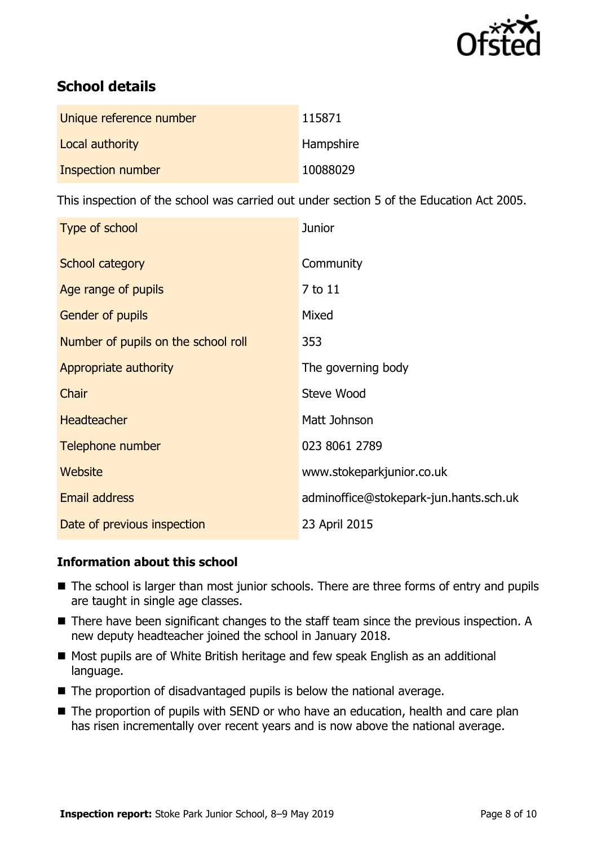

# **School details**

| Unique reference number | 115871    |
|-------------------------|-----------|
| Local authority         | Hampshire |
| Inspection number       | 10088029  |

This inspection of the school was carried out under section 5 of the Education Act 2005.

| Type of school                      | <b>Junior</b>                          |
|-------------------------------------|----------------------------------------|
| School category                     | Community                              |
| Age range of pupils                 | 7 to 11                                |
| <b>Gender of pupils</b>             | Mixed                                  |
| Number of pupils on the school roll | 353                                    |
| Appropriate authority               | The governing body                     |
| Chair                               | Steve Wood                             |
| <b>Headteacher</b>                  | Matt Johnson                           |
| Telephone number                    | 023 8061 2789                          |
| Website                             | www.stokeparkjunior.co.uk              |
| <b>Email address</b>                | adminoffice@stokepark-jun.hants.sch.uk |
| Date of previous inspection         | 23 April 2015                          |

#### **Information about this school**

- The school is larger than most junior schools. There are three forms of entry and pupils are taught in single age classes.
- There have been significant changes to the staff team since the previous inspection. A new deputy headteacher joined the school in January 2018.
- Most pupils are of White British heritage and few speak English as an additional language.
- The proportion of disadvantaged pupils is below the national average.
- The proportion of pupils with SEND or who have an education, health and care plan has risen incrementally over recent years and is now above the national average.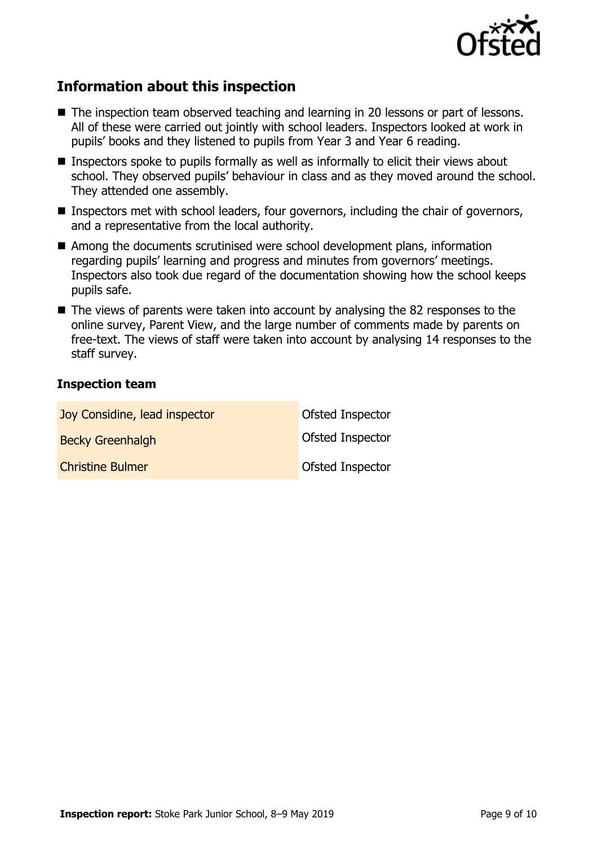

# **Information about this inspection**

- The inspection team observed teaching and learning in 20 lessons or part of lessons. All of these were carried out jointly with school leaders. Inspectors looked at work in pupils' books and they listened to pupils from Year 3 and Year 6 reading.
- $\blacksquare$  Inspectors spoke to pupils formally as well as informally to elicit their views about school. They observed pupils' behaviour in class and as they moved around the school. They attended one assembly.
- Inspectors met with school leaders, four governors, including the chair of governors, and a representative from the local authority.
- Among the documents scrutinised were school development plans, information regarding pupils' learning and progress and minutes from governors' meetings. Inspectors also took due regard of the documentation showing how the school keeps pupils safe.
- The views of parents were taken into account by analysing the 82 responses to the online survey, Parent View, and the large number of comments made by parents on free-text. The views of staff were taken into account by analysing 14 responses to the staff survey.

#### **Inspection team**

| Joy Considine, lead inspector | Ofsted Inspector |
|-------------------------------|------------------|
| <b>Becky Greenhalgh</b>       | Ofsted Inspector |
| <b>Christine Bulmer</b>       | Ofsted Inspector |